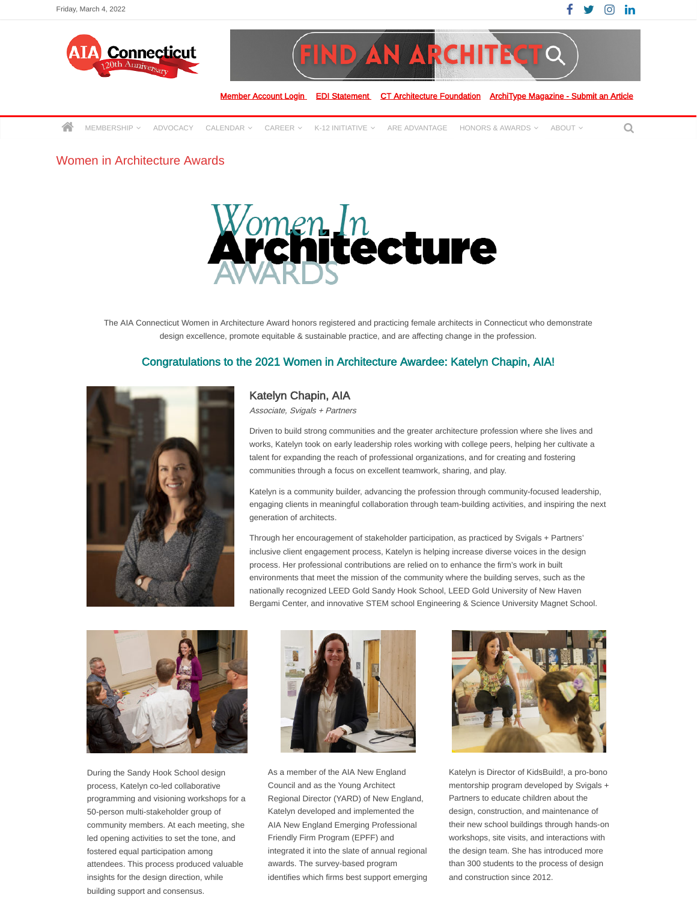



[MEMBERSHIP](https://aiact.org/membership/)  $\sim$  advocacy calendar  $\sim$  career  $\sim$  k-12 initiative  $\sim$  are advantage honors & awards  $\sim$  about  $\sim$  Q

## Women in Architecture Awards



The AIA Connecticut Women in Architecture Award honors registered and practicing female architects in Connecticut who demonstrate design excellence, promote equitable & sustainable practice, and are affecting change in the profession.

## Congratulations to the 2021 Women in Architecture Awardee: Katelyn Chapin, AIA!



## Katelyn Chapin, AIA

Associate, Svigals + Partners

Driven to build strong communities and the greater architecture profession where she lives and works, Katelyn took on early leadership roles working with college peers, helping her cultivate a talent for expanding the reach of professional organizations, and for creating and fostering communities through a focus on excellent teamwork, sharing, and play.

Katelyn is a community builder, advancing the profession through community-focused leadership, engaging clients in meaningful collaboration through team-building activities, and inspiring the next generation of architects.

Through her encouragement of stakeholder participation, as practiced by Svigals + Partners' inclusive client engagement process, Katelyn is helping increase diverse voices in the design process. Her professional contributions are relied on to enhance the firm's work in built environments that meet the mission of the community where the building serves, such as the nationally recognized LEED Gold Sandy Hook School, LEED Gold University of New Haven Bergami Center, and innovative STEM school Engineering & Science University Magnet School.



During the Sandy Hook School design process, Katelyn co-led collaborative programming and visioning workshops for a 50-person multi-stakeholder group of community members. At each meeting, she led opening activities to set the tone, and fostered equal participation among attendees. This process produced valuable insights for the design direction, while building support and consensus.



As a member of the AIA New England Council and as the Young Architect Regional Director (YARD) of New England, Katelyn developed and implemented the AIA New England Emerging Professional Friendly Firm Program (EPFF) and integrated it into the slate of annual regional awards. The survey-based program identifies which firms best support emerging



Katelyn is Director of KidsBuild!, a pro-bono mentorship program developed by Svigals + Partners to educate children about the design, construction, and maintenance of their new school buildings through hands-on workshops, site visits, and interactions with the design team. She has introduced more than 300 students to the process of design and construction since 2012.